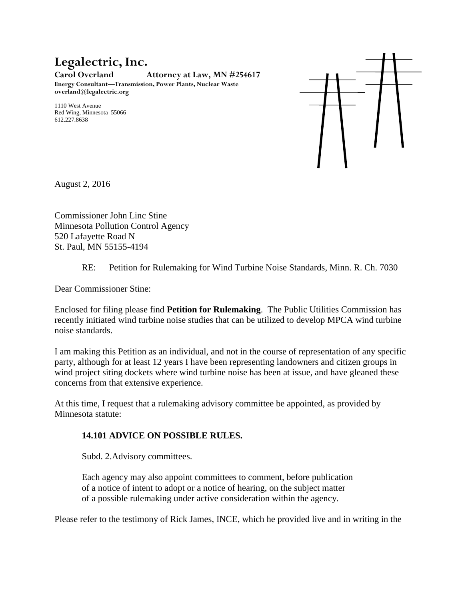# **Legalectric, Inc.**

**Carol Overland Attorney at Law, MN #254617 Energy Consultant—Transmission, Power Plants, Nuclear Waste**

**overland@legalectric.org**

1110 West Avenue Red Wing, Minnesota 55066 612.227.8638



August 2, 2016

Commissioner John Linc Stine Minnesota Pollution Control Agency 520 Lafayette Road N St. Paul, MN 55155-4194

#### RE: Petition for Rulemaking for Wind Turbine Noise Standards, Minn. R. Ch. 7030

Dear Commissioner Stine:

Enclosed for filing please find **Petition for Rulemaking**. The Public Utilities Commission has recently initiated wind turbine noise studies that can be utilized to develop MPCA wind turbine noise standards.

I am making this Petition as an individual, and not in the course of representation of any specific party, although for at least 12 years I have been representing landowners and citizen groups in wind project siting dockets where wind turbine noise has been at issue, and have gleaned these concerns from that extensive experience.

At this time, I request that a rulemaking advisory committee be appointed, as provided by Minnesota statute:

## **[14.101 ADVICE ON POSSIBLE RULES.](https://www.revisor.mn.gov/statutes/?id=14.101)**

[Subd. 2.Advisory committees.](https://www.revisor.mn.gov/statutes/?id=14.101)

[Each agency may also appoint committees to comment, before publication](https://www.revisor.mn.gov/statutes/?id=14.101)  [of a notice of intent to adopt or a notice of hearing, on the subject matter](https://www.revisor.mn.gov/statutes/?id=14.101)  [of a possible rulemaking under active consideration within the agency.](https://www.revisor.mn.gov/statutes/?id=14.101)

Please refer to the testimony of Rick James, INCE, which he provided live and in writing in the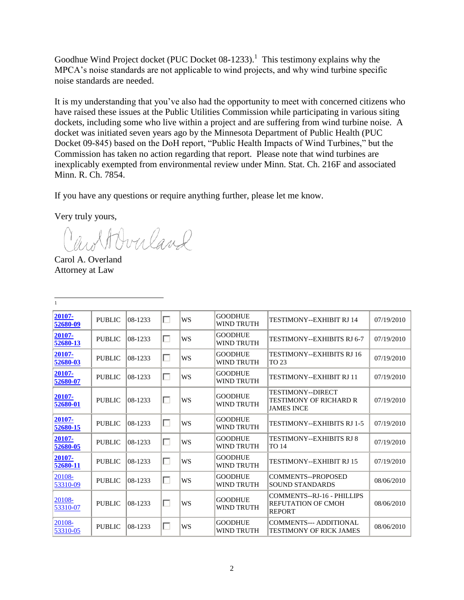Goodhue Wind Project docket (PUC Docket  $08-1233$ ).<sup>1</sup> This testimony explains why the MPCA's noise standards are not applicable to wind projects, and why wind turbine specific noise standards are needed.

It is my understanding that you've also had the opportunity to meet with concerned citizens who have raised these issues at the Public Utilities Commission while participating in various siting dockets, including some who live within a project and are suffering from wind turbine noise. A docket was initiated seven years ago by the Minnesota Department of Public Health (PUC Docket 09-845) based on the DoH report, "Public Health Impacts of Wind Turbines," but the Commission has taken no action regarding that report. Please note that wind turbines are inexplicably exempted from environmental review under Minn. Stat. Ch. 216F and associated Minn. R. Ch. 7854.

If you have any questions or require anything further, please let me know.

Very truly yours,

wolf Overland

Carol A. Overland Attorney at Law

| $\mathbf{1}$       |               |         |   |           |                                     |                                                                          |            |
|--------------------|---------------|---------|---|-----------|-------------------------------------|--------------------------------------------------------------------------|------------|
| 20107-<br>52680-09 | <b>PUBLIC</b> | 08-1233 | П | WS        | <b>GOODHUE</b><br>WIND TRUTH        | <b>TESTIMONY--EXHIBIT RJ 14</b>                                          | 07/19/2010 |
| 20107-<br>52680-13 | <b>PUBLIC</b> | 08-1233 | г | WS        | <b>GOODHUE</b><br>WIND TRUTH        | <b>TESTIMONY--EXHIBITS RJ 6-7</b>                                        | 07/19/2010 |
| 20107-<br>52680-03 | <b>PUBLIC</b> | 08-1233 | г | WS        | <b>GOODHUE</b><br><b>WIND TRUTH</b> | <b>TESTIMONY--EXHIBITS RJ 16</b><br><b>TO 23</b>                         | 07/19/2010 |
| 20107-<br>52680-07 | <b>PUBLIC</b> | 08-1233 | г | WS        | <b>GOODHUE</b><br><b>WIND TRUTH</b> | <b>TESTIMONY--EXHIBIT RJ 11</b>                                          | 07/19/2010 |
| 20107-<br>52680-01 | <b>PUBLIC</b> | 08-1233 | п | WS        | <b>GOODHUE</b><br>WIND TRUTH        | <b>TESTIMONY--DIRECT</b><br>TESTIMONY OF RICHARD R<br><b>JAMES INCE</b>  | 07/19/2010 |
| 20107-<br>52680-15 | <b>PUBLIC</b> | 08-1233 | г | WS        | <b>GOODHUE</b><br>WIND TRUTH        | <b>TESTIMONY--EXHIBITS RJ 1-5</b>                                        | 07/19/2010 |
| 20107-<br>52680-05 | <b>PUBLIC</b> | 08-1233 | г | <b>WS</b> | <b>GOODHUE</b><br>WIND TRUTH        | <b>TESTIMONY--EXHIBITS RJ 8</b><br><b>TO 14</b>                          | 07/19/2010 |
| 20107-<br>52680-11 | <b>PUBLIC</b> | 08-1233 | г | WS        | <b>GOODHUE</b><br>WIND TRUTH        | <b>TESTIMONY--EXHIBIT RJ 15</b>                                          | 07/19/2010 |
| 20108-<br>53310-09 | <b>PUBLIC</b> | 08-1233 | п | <b>WS</b> | <b>GOODHUE</b><br><b>WIND TRUTH</b> | COMMENTS--PROPOSED<br><b>SOUND STANDARDS</b>                             | 08/06/2010 |
| 20108-<br>53310-07 | <b>PUBLIC</b> | 08-1233 | П | WS        | <b>GOODHUE</b><br>WIND TRUTH        | COMMENTS--RJ-16 - PHILLIPS<br><b>REFUTATION OF CMOH</b><br><b>REPORT</b> | 08/06/2010 |
| 20108-<br>53310-05 | <b>PUBLIC</b> | 08-1233 | г | <b>WS</b> | <b>GOODHUE</b><br>WIND TRUTH        | COMMENTS--- ADDITIONAL<br><b>TESTIMONY OF RICK JAMES</b>                 | 08/06/2010 |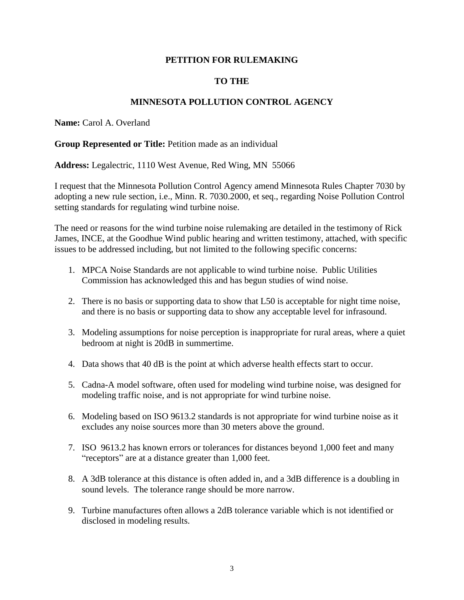#### **PETITION FOR RULEMAKING**

### **TO THE**

#### **MINNESOTA POLLUTION CONTROL AGENCY**

**Name:** Carol A. Overland

#### **Group Represented or Title:** Petition made as an individual

**Address:** Legalectric, 1110 West Avenue, Red Wing, MN 55066

I request that the Minnesota Pollution Control Agency amend Minnesota Rules Chapter 7030 by adopting a new rule section, i.e., Minn. R. 7030.2000, et seq., regarding Noise Pollution Control setting standards for regulating wind turbine noise.

The need or reasons for the wind turbine noise rulemaking are detailed in the testimony of Rick James, INCE, at the Goodhue Wind public hearing and written testimony, attached, with specific issues to be addressed including, but not limited to the following specific concerns:

- 1. MPCA Noise Standards are not applicable to wind turbine noise. Public Utilities Commission has acknowledged this and has begun studies of wind noise.
- 2. There is no basis or supporting data to show that L50 is acceptable for night time noise, and there is no basis or supporting data to show any acceptable level for infrasound.
- 3. Modeling assumptions for noise perception is inappropriate for rural areas, where a quiet bedroom at night is 20dB in summertime.
- 4. Data shows that 40 dB is the point at which adverse health effects start to occur.
- 5. Cadna-A model software, often used for modeling wind turbine noise, was designed for modeling traffic noise, and is not appropriate for wind turbine noise.
- 6. Modeling based on ISO 9613.2 standards is not appropriate for wind turbine noise as it excludes any noise sources more than 30 meters above the ground.
- 7. ISO 9613.2 has known errors or tolerances for distances beyond 1,000 feet and many "receptors" are at a distance greater than 1,000 feet.
- 8. A 3dB tolerance at this distance is often added in, and a 3dB difference is a doubling in sound levels. The tolerance range should be more narrow.
- 9. Turbine manufactures often allows a 2dB tolerance variable which is not identified or disclosed in modeling results.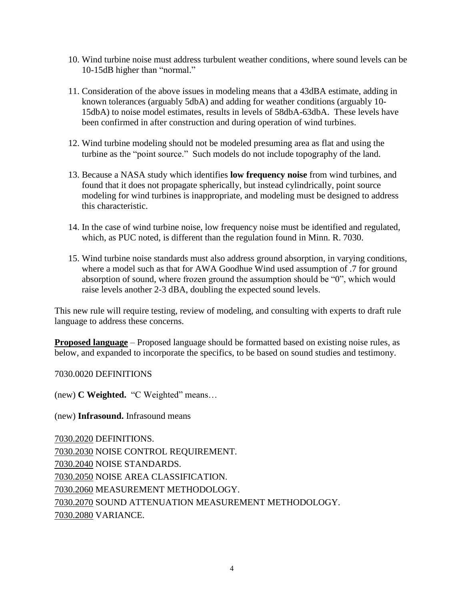- 10. Wind turbine noise must address turbulent weather conditions, where sound levels can be 10-15dB higher than "normal."
- 11. Consideration of the above issues in modeling means that a 43dBA estimate, adding in known tolerances (arguably 5dbA) and adding for weather conditions (arguably 10- 15dbA) to noise model estimates, results in levels of 58dbA-63dbA. These levels have been confirmed in after construction and during operation of wind turbines.
- 12. Wind turbine modeling should not be modeled presuming area as flat and using the turbine as the "point source." Such models do not include topography of the land.
- 13. Because a NASA study which identifies **low frequency noise** from wind turbines, and found that it does not propagate spherically, but instead cylindrically, point source modeling for wind turbines is inappropriate, and modeling must be designed to address this characteristic.
- 14. In the case of wind turbine noise, low frequency noise must be identified and regulated, which, as PUC noted, is different than the regulation found in Minn. R. 7030.
- 15. Wind turbine noise standards must also address ground absorption, in varying conditions, where a model such as that for AWA Goodhue Wind used assumption of .7 for ground absorption of sound, where frozen ground the assumption should be "0", which would raise levels another 2-3 dBA, doubling the expected sound levels.

This new rule will require testing, review of modeling, and consulting with experts to draft rule language to address these concerns.

**Proposed language** – Proposed language should be formatted based on existing noise rules, as below, and expanded to incorporate the specifics, to be based on sound studies and testimony.

7030.0020 DEFINITIONS

(new) **C Weighted.** "C Weighted" means…

(new) **Infrasound.** Infrasound means

[7030.2020](https://www.revisor.mn.gov/rules/?id=7030.0020) DEFINITIONS. [7030.2030](https://www.revisor.mn.gov/rules/?id=7030.0030) NOISE CONTROL REQUIREMENT. [7030.2040](https://www.revisor.mn.gov/rules/?id=7030.0040) NOISE STANDARDS. [7030.2050](https://www.revisor.mn.gov/rules/?id=7030.0050) NOISE AREA CLASSIFICATION. [7030.2060](https://www.revisor.mn.gov/rules/?id=7030.0060) MEASUREMENT METHODOLOGY. [7030.2070](https://www.revisor.mn.gov/rules/?id=7030.0070) SOUND ATTENUATION MEASUREMENT METHODOLOGY. [7030.2080](https://www.revisor.mn.gov/rules/?id=7030.0080) VARIANCE.